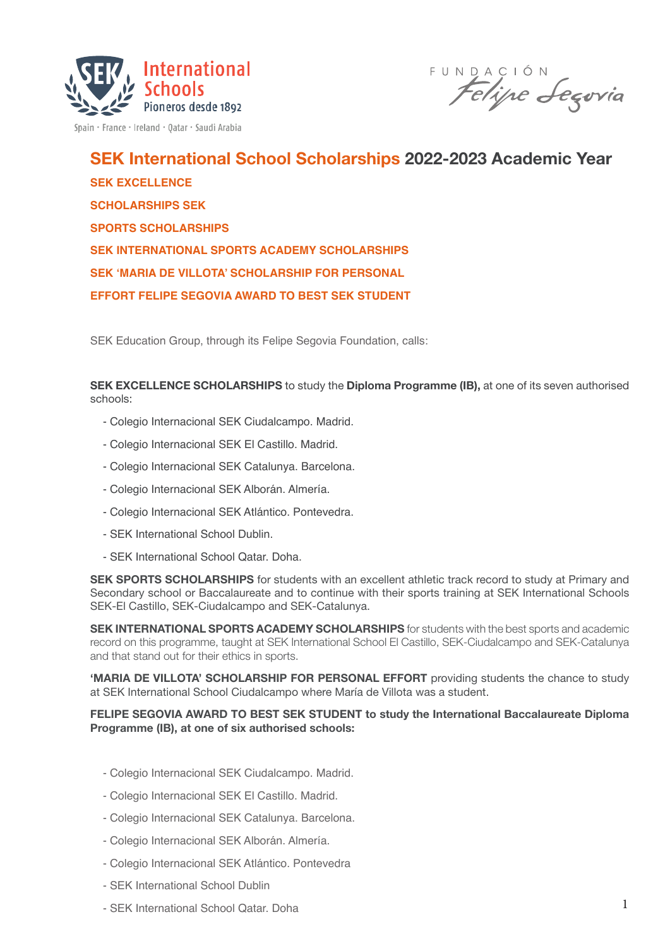

Spain · France · Ireland · Qatar · Saudi Arabia

INDACIÓN<br>Felipe Jegovia

SEK International School Scholarships 2022-2023 Academic Year **SEK EXCELLENCE SCHOLARSHIPS SEK SPORTS SCHOLARSHIPS SEK INTERNATIONAL SPORTS ACADEMY SCHOLARSHIPS SEK 'MARIA DE VILLOTA' SCHOLARSHIP FOR PERSONAL EFFORT FELIPE SEGOVIA AWARD TO BEST SEK STUDENT**

SEK Education Group, through its Felipe Segovia Foundation, calls:

SEK EXCELLENCE SCHOLARSHIPS to study the Diploma Programme (IB), at one of its seven authorised schools:

- Colegio Internacional SEK Ciudalcampo. Madrid.
- Colegio Internacional SEK El Castillo. Madrid.
- Colegio Internacional SEK Catalunya. Barcelona.
- Colegio Internacional SEK Alborán. Almería.
- Colegio Internacional SEK Atlántico. Pontevedra.
- SEK International School Dublin.
- SEK International School Qatar. Doha.

SEK SPORTS SCHOLARSHIPS for students with an excellent athletic track record to study at Primary and Secondary school or Baccalaureate and to continue with their sports training at SEK International Schools SEK-El Castillo, SEK-Ciudalcampo and SEK-Catalunya.

SEK INTERNATIONAL SPORTS ACADEMY SCHOLARSHIPS for students with the best sports and academic record on this programme, taught at SEK International School El Castillo, SEK-Ciudalcampo and SEK-Catalunya and that stand out for their ethics in sports.

'MARIA DE VILLOTA' SCHOLARSHIP FOR PERSONAL EFFORT providing students the chance to study at SEK International School Ciudalcampo where María de Villota was a student.

## FELIPE SEGOVIA AWARD TO BEST SEK STUDENT to study the International Baccalaureate Diploma Programme (IB), at one of six authorised schools:

- Colegio Internacional SEK Ciudalcampo. Madrid.
- Colegio Internacional SEK El Castillo. Madrid.
- Colegio Internacional SEK Catalunya. Barcelona.
- Colegio Internacional SEK Alborán. Almería.
- Colegio Internacional SEK Atlántico. Pontevedra
- SEK International School Dublin
- SEK International School Qatar. Doha **1**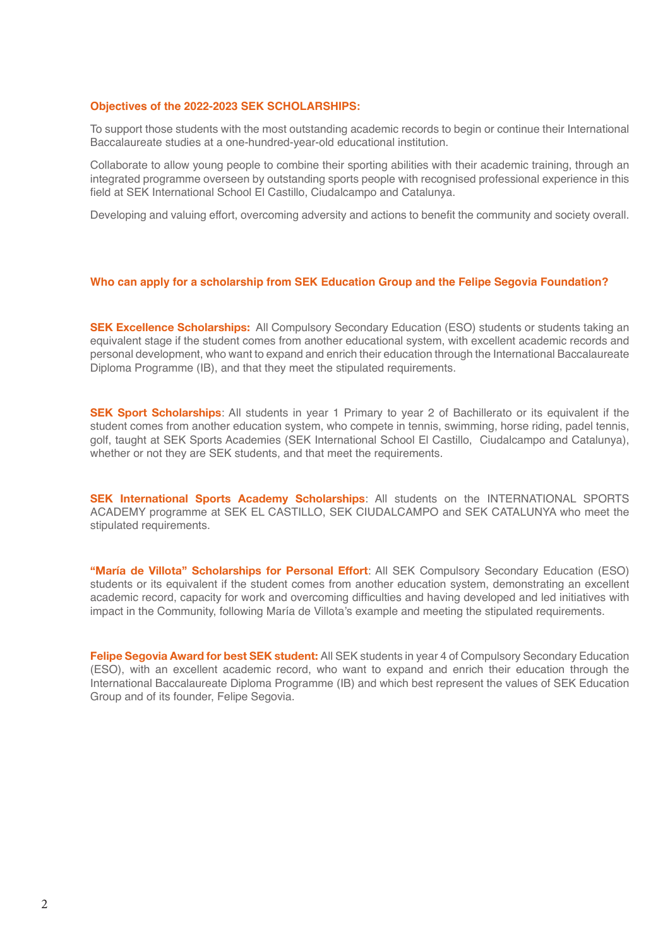### **Objectives of the 2022-2023 SEK SCHOLARSHIPS:**

To support those students with the most outstanding academic records to begin or continue their International Baccalaureate studies at a one-hundred-year-old educational institution.

Collaborate to allow young people to combine their sporting abilities with their academic training, through an integrated programme overseen by outstanding sports people with recognised professional experience in this field at SEK International School El Castillo, Ciudalcampo and Catalunya.

Developing and valuing effort, overcoming adversity and actions to benefit the community and society overall.

### **Who can apply for a scholarship from SEK Education Group and the Felipe Segovia Foundation?**

**SEK Excellence Scholarships:** All Compulsory Secondary Education (ESO) students or students taking an equivalent stage if the student comes from another educational system, with excellent academic records and personal development, who want to expand and enrich their education through the International Baccalaureate Diploma Programme (IB), and that they meet the stipulated requirements.

**SEK Sport Scholarships:** All students in year 1 Primary to year 2 of Bachillerato or its equivalent if the student comes from another education system, who compete in tennis, swimming, horse riding, padel tennis, golf, taught at SEK Sports Academies (SEK International School El Castillo, Ciudalcampo and Catalunya), whether or not they are SEK students, and that meet the requirements.

SEK International Sports Academy Scholarships: All students on the INTERNATIONAL SPORTS ACADEMY programme at SEK EL CASTILLO, SEK CIUDALCAMPO and SEK CATALUNYA who meet the stipulated requirements.

"María de Villota" Scholarships for Personal Effort: All SEK Compulsory Secondary Education (ESO) students or its equivalent if the student comes from another education system, demonstrating an excellent academic record, capacity for work and overcoming difficulties and having developed and led initiatives with impact in the Community, following María de Villota's example and meeting the stipulated requirements.

Felipe Segovia Award for best SEK student: All SEK students in year 4 of Compulsory Secondary Education (ESO), with an excellent academic record, who want to expand and enrich their education through the International Baccalaureate Diploma Programme (IB) and which best represent the values of SEK Education Group and of its founder, Felipe Segovia.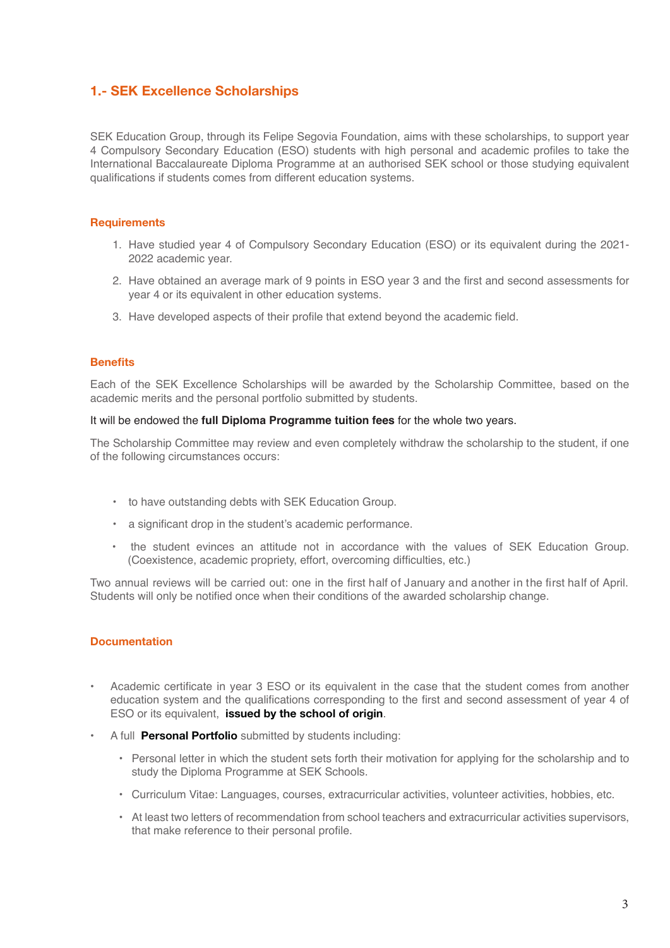# 1.- SEK Excellence Scholarships

SEK Education Group, through its Felipe Segovia Foundation, aims with these scholarships, to support year 4 Compulsory Secondary Education (ESO) students with high personal and academic profiles to take the International Baccalaureate Diploma Programme at an authorised SEK school or those studying equivalent qualifications if students comes from different education systems.

# **Requirements**

- 1. Have studied year 4 of Compulsory Secondary Education (ESO) or its equivalent during the 2021- 2022 academic year.
- 2. Have obtained an average mark of 9 points in ESO year 3 and the first and second assessments for year 4 or its equivalent in other education systems.
- 3. Have developed aspects of their profile that extend beyond the academic field.

# **Benefits**

Each of the SEK Excellence Scholarships will be awarded by the Scholarship Committee, based on the academic merits and the personal portfolio submitted by students.

## It will be endowed the **full Diploma Programme tuition fees** for the whole two years.

The Scholarship Committee may review and even completely withdraw the scholarship to the student, if one of the following circumstances occurs:

- to have outstanding debts with SEK Education Group.
- a significant drop in the student's academic performance.
- the student evinces an attitude not in accordance with the values of SEK Education Group. (Coexistence, academic propriety, effort, overcoming difficulties, etc.)

Two annual reviews will be carried out: one in the first half of January and another in the first half of April. Students will only be notified once when their conditions of the awarded scholarship change.

# **Documentation**

- Academic certificate in year 3 ESO or its equivalent in the case that the student comes from another education system and the qualifications corresponding to the first and second assessment of year 4 of ESO or its equivalent, issued by the school of origin.
- A full **Personal Portfolio** submitted by students including:
	- Personal letter in which the student sets forth their motivation for applying for the scholarship and to study the Diploma Programme at SEK Schools.
	- Curriculum Vitae: Languages, courses, extracurricular activities, volunteer activities, hobbies, etc.
	- At least two letters of recommendation from school teachers and extracurricular activities supervisors, that make reference to their personal profile.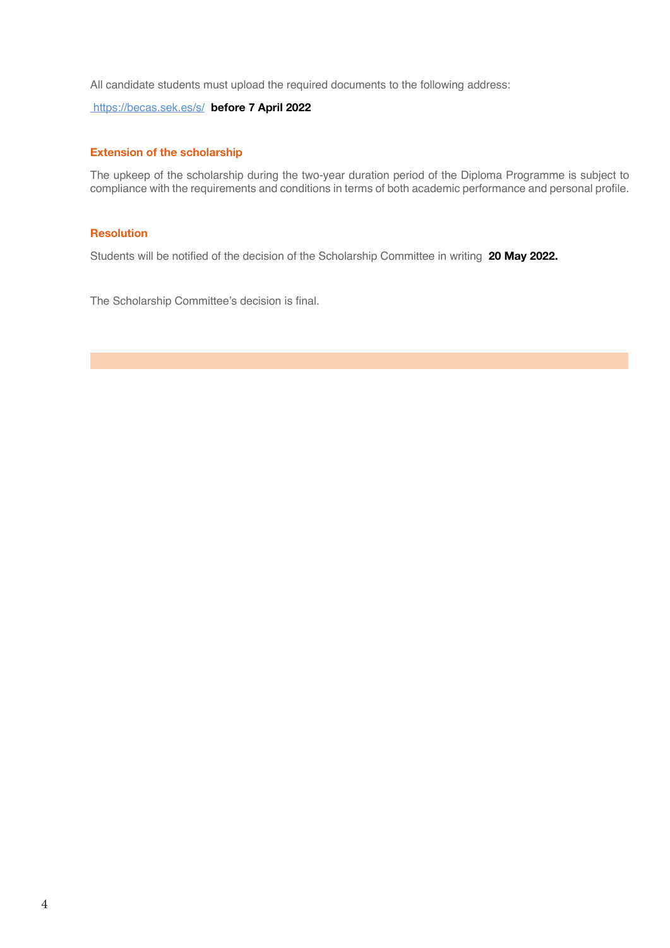All candidate students must upload the required documents to the following address:

https://becas.sek.es/s/ before 7 April 2022

### Extension of the scholarship

The upkeep of the scholarship during the two-year duration period of the Diploma Programme is subject to compliance with the requirements and conditions in terms of both academic performance and personal profile.

# **Resolution**

Students will be notified of the decision of the Scholarship Committee in writing 20 May 2022.

The Scholarship Committee's decision is final.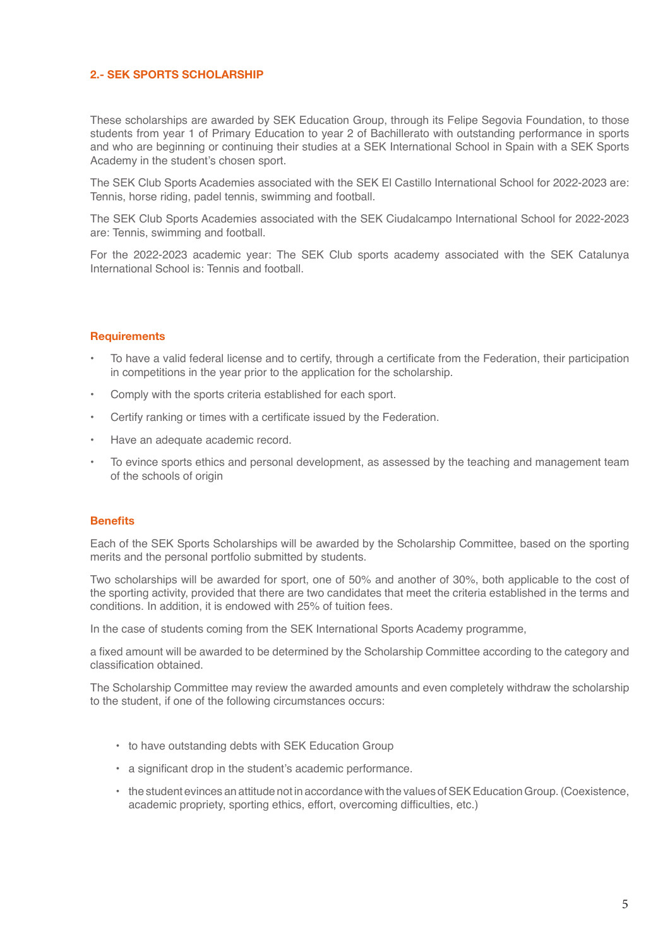# 2.- SEK SPORTS SCHOLARSHIP

These scholarships are awarded by SEK Education Group, through its Felipe Segovia Foundation, to those students from year 1 of Primary Education to year 2 of Bachillerato with outstanding performance in sports and who are beginning or continuing their studies at a SEK International School in Spain with a SEK Sports Academy in the student's chosen sport.

The SEK Club Sports Academies associated with the SEK El Castillo International School for 2022-2023 are: Tennis, horse riding, padel tennis, swimming and football.

The SEK Club Sports Academies associated with the SEK Ciudalcampo International School for 2022-2023 are: Tennis, swimming and football.

For the 2022-2023 academic year: The SEK Club sports academy associated with the SEK Catalunya International School is: Tennis and football.

## **Requirements**

- To have a valid federal license and to certify, through a certificate from the Federation, their participation in competitions in the year prior to the application for the scholarship.
- Comply with the sports criteria established for each sport.
- Certify ranking or times with a certificate issued by the Federation.
- Have an adequate academic record.
- To evince sports ethics and personal development, as assessed by the teaching and management team of the schools of origin

### **Benefits**

Each of the SEK Sports Scholarships will be awarded by the Scholarship Committee, based on the sporting merits and the personal portfolio submitted by students.

Two scholarships will be awarded for sport, one of 50% and another of 30%, both applicable to the cost of the sporting activity, provided that there are two candidates that meet the criteria established in the terms and conditions. In addition, it is endowed with 25% of tuition fees.

In the case of students coming from the SEK International Sports Academy programme,

a fixed amount will be awarded to be determined by the Scholarship Committee according to the category and classification obtained.

The Scholarship Committee may review the awarded amounts and even completely withdraw the scholarship to the student, if one of the following circumstances occurs:

- to have outstanding debts with SEK Education Group
- a significant drop in the student's academic performance.
- the student evinces an attitude not in accordance with the values of SEK Education Group. (Coexistence, academic propriety, sporting ethics, effort, overcoming difficulties, etc.)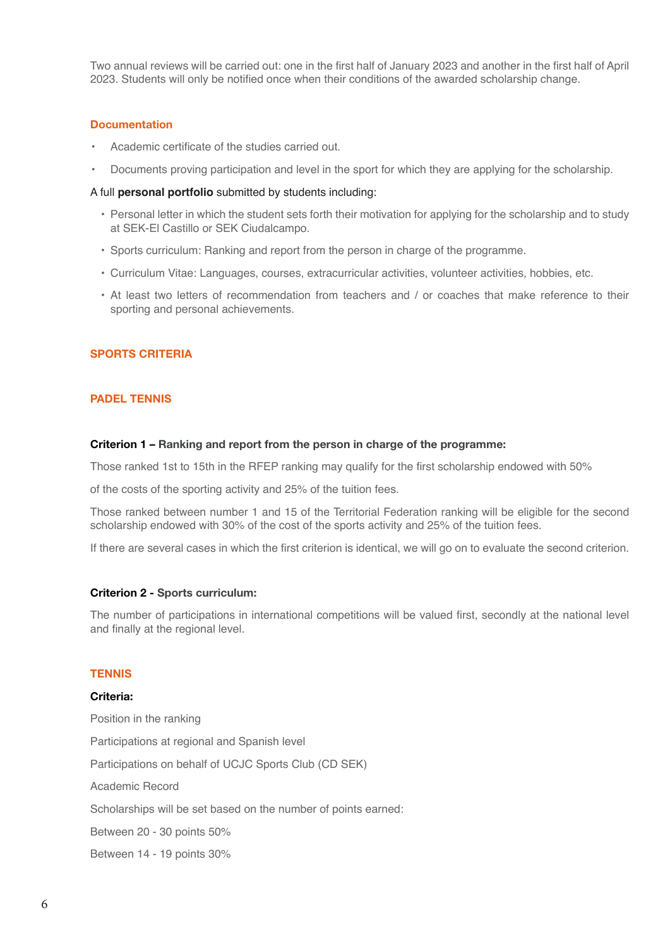Two annual reviews will be carried out: one in the first half of January 2023 and another in the first half of April 2023. Students will only be notified once when their conditions of the awarded scholarship change.

### Documentation

- Academic certificate of the studies carried out.
- Documents proving participation and level in the sport for which they are applying for the scholarship.

### A full **personal portfolio** submitted by students including:

- Personal letter in which the student sets forth their motivation for applying for the scholarship and to study at SEK-El Castillo or SEK Ciudalcampo.
- Sports curriculum: Ranking and report from the person in charge of the programme.
- Curriculum Vitae: Languages, courses, extracurricular activities, volunteer activities, hobbies, etc.
- At least two letters of recommendation from teachers and / or coaches that make reference to their sporting and personal achievements.

## SPORTS CRITERIA

## PADEL TENNIS

#### Criterion 1 – Ranking and report from the person in charge of the programme:

Those ranked 1st to 15th in the RFEP ranking may qualify for the first scholarship endowed with 50%

of the costs of the sporting activity and 25% of the tuition fees.

Those ranked between number 1 and 15 of the Territorial Federation ranking will be eligible for the second scholarship endowed with 30% of the cost of the sports activity and 25% of the tuition fees.

If there are several cases in which the first criterion is identical, we will go on to evaluate the second criterion.

#### Criterion 2 - Sports curriculum:

The number of participations in international competitions will be valued first, secondly at the national level and finally at the regional level.

## **TENNIS**

## Criteria:

Position in the ranking Participations at regional and Spanish level Participations on behalf of UCJC Sports Club (CD SEK) Academic Record Scholarships will be set based on the number of points earned: Between 20 - 30 points 50% Between 14 - 19 points 30%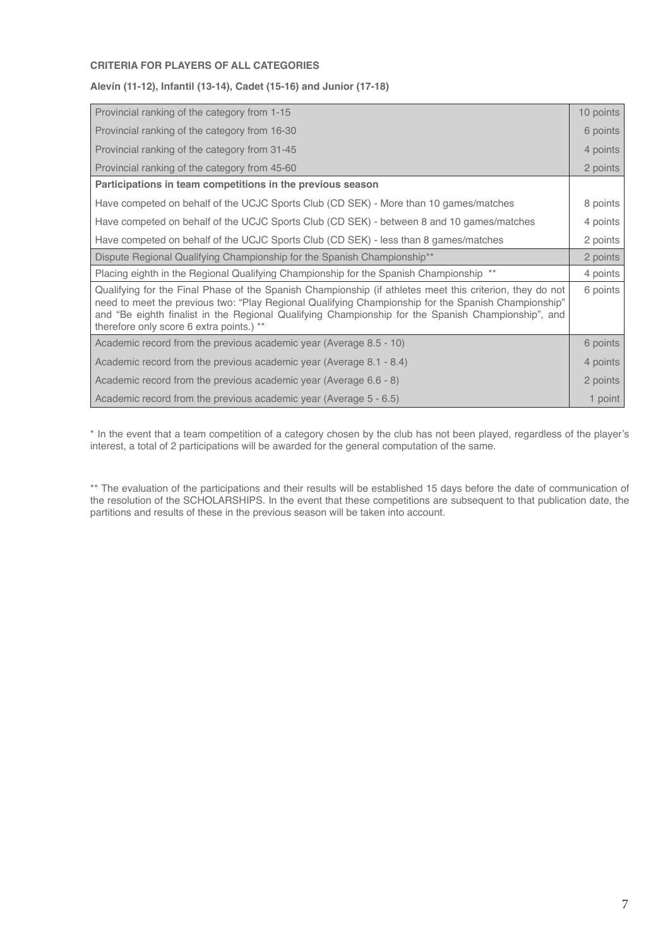# **CRITERIA FOR PLAYERS OF ALL CATEGORIES**

## **Alevín (11-12), Infantil (13-14), Cadet (15-16) and Junior (17-18)**

| Provincial ranking of the category from 1-15                                                                                                                                                                                                                                                                                                                      | 10 points |  |  |  |  |  |  |
|-------------------------------------------------------------------------------------------------------------------------------------------------------------------------------------------------------------------------------------------------------------------------------------------------------------------------------------------------------------------|-----------|--|--|--|--|--|--|
| Provincial ranking of the category from 16-30                                                                                                                                                                                                                                                                                                                     |           |  |  |  |  |  |  |
| Provincial ranking of the category from 31-45                                                                                                                                                                                                                                                                                                                     |           |  |  |  |  |  |  |
| Provincial ranking of the category from 45-60                                                                                                                                                                                                                                                                                                                     | 2 points  |  |  |  |  |  |  |
| Participations in team competitions in the previous season                                                                                                                                                                                                                                                                                                        |           |  |  |  |  |  |  |
| Have competed on behalf of the UCJC Sports Club (CD SEK) - More than 10 games/matches                                                                                                                                                                                                                                                                             | 8 points  |  |  |  |  |  |  |
| Have competed on behalf of the UCJC Sports Club (CD SEK) - between 8 and 10 games/matches                                                                                                                                                                                                                                                                         | 4 points  |  |  |  |  |  |  |
| Have competed on behalf of the UCJC Sports Club (CD SEK) - less than 8 games/matches                                                                                                                                                                                                                                                                              |           |  |  |  |  |  |  |
| Dispute Regional Qualifying Championship for the Spanish Championship <sup>**</sup>                                                                                                                                                                                                                                                                               | 2 points  |  |  |  |  |  |  |
| Placing eighth in the Regional Qualifying Championship for the Spanish Championship **                                                                                                                                                                                                                                                                            | 4 points  |  |  |  |  |  |  |
| Qualifying for the Final Phase of the Spanish Championship (if athletes meet this criterion, they do not<br>need to meet the previous two: "Play Regional Qualifying Championship for the Spanish Championship"<br>and "Be eighth finalist in the Regional Qualifying Championship for the Spanish Championship", and<br>therefore only score 6 extra points.) ** | 6 points  |  |  |  |  |  |  |
| Academic record from the previous academic year (Average 8.5 - 10)                                                                                                                                                                                                                                                                                                | 6 points  |  |  |  |  |  |  |
| Academic record from the previous academic year (Average 8.1 - 8.4)                                                                                                                                                                                                                                                                                               |           |  |  |  |  |  |  |
| Academic record from the previous academic year (Average 6.6 - 8)                                                                                                                                                                                                                                                                                                 | 2 points  |  |  |  |  |  |  |
| Academic record from the previous academic year (Average 5 - 6.5)                                                                                                                                                                                                                                                                                                 | 1 point   |  |  |  |  |  |  |

\* In the event that a team competition of a category chosen by the club has not been played, regardless of the player's interest, a total of 2 participations will be awarded for the general computation of the same.

\*\* The evaluation of the participations and their results will be established 15 days before the date of communication of the resolution of the SCHOLARSHIPS. In the event that these competitions are subsequent to that publication date, the partitions and results of these in the previous season will be taken into account.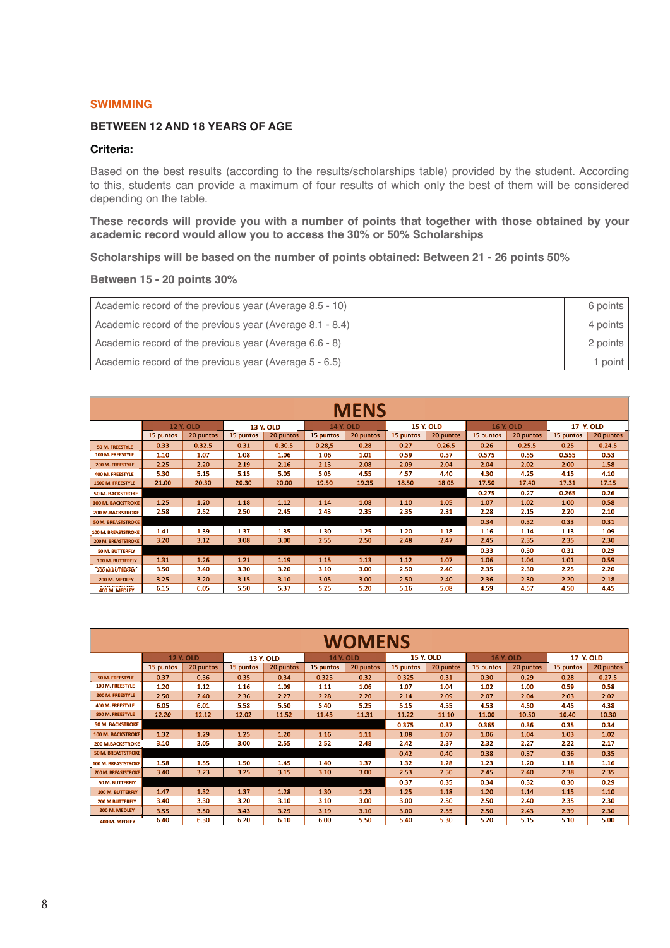### SWIMMING

## **BETWEEN 12 AND 18 YEARS OF AGE**

### Criteria:

Based on the best results (according to the results/scholarships table) provided by the student. According to this, students can provide a maximum of four results of which only the best of them will be considered depending on the table.

**These records will provide you with a number of points that together with those obtained by your academic record would allow you to access the 30% or 50% Scholarships**

**Scholarships will be based on the number of points obtained: Between 21 - 26 points 50%**

## **Between 15 - 20 points 30%**

| Academic record of the previous year (Average 8.5 - 10)  | 6 points |
|----------------------------------------------------------|----------|
| Academic record of the previous year (Average 8.1 - 8.4) | 4 points |
| Academic record of the previous year (Average 6.6 - 8)   | 2 points |
| Academic record of the previous year (Average 5 - 6.5)   | point    |

| <b>MENS</b>                  |                                      |           |                  |           |                  |           |                  |           |                  |           |           |           |
|------------------------------|--------------------------------------|-----------|------------------|-----------|------------------|-----------|------------------|-----------|------------------|-----------|-----------|-----------|
|                              | <b>12 Y. OLD</b><br><b>13 Y. OLD</b> |           | <b>14 Y. OLD</b> |           | <b>15 Y. OLD</b> |           | <b>16 Y. OLD</b> |           | <b>17 Y. OLD</b> |           |           |           |
|                              | 15 puntos                            | 20 puntos | 15 puntos        | 20 puntos | 15 puntos        | 20 puntos | 15 puntos        | 20 puntos | 15 puntos        | 20 puntos | 15 puntos | 20 puntos |
| 50 M. FREESTYLE              | 0.33                                 | 0.32.5    | 0.31             | 0.30.5    | 0.28,5           | 0.28      | 0.27             | 0.26.5    | 0.26             | 0.25.5    | 0.25      | 0.24.5    |
| 100 M. FREESTYLE             | 1.10                                 | 1.07      | 1.08             | 1.06      | 1.06             | 1.01      | 0.59             | 0.57      | 0.575            | 0.55      | 0.555     | 0.53      |
| 200 M. FREESTYLE             | 2.25                                 | 2.20      | 2.19             | 2.16      | 2.13             | 2.08      | 2.09             | 2.04      | 2.04             | 2.02      | 2.00      | 1.58      |
| 400 M. FREESTYLE             | 5.30                                 | 5.15      | 5.15             | 5.05      | 5.05             | 4.55      | 4.57             | 4.40      | 4.30             | 4.25      | 4.15      | 4.10      |
| 1500 M. FREESTYLE            | 21.00                                | 20.30     | 20.30            | 20.00     | 19.50            | 19.35     | 18.50            | 18.05     | 17.50            | 17.40     | 17.31     | 17.15     |
| <b>50 M. BACKSTROKE</b>      |                                      |           |                  |           |                  |           |                  |           | 0.275            | 0.27      | 0.265     | 0.26      |
| <b>100 M. BACKSTROKE</b>     | 1.25                                 | 1.20      | 1.18             | 1.12      | 1.14             | 1.08      | 1.10             | 1.05      | 1.07             | 1.02      | 1.00      | 0.58      |
| <b>200 M.BACKSTROKE</b>      | 2.58                                 | 2.52      | 2.50             | 2.45      | 2.43             | 2.35      | 2.35             | 2.31      | 2.28             | 2.15      | 2.20      | 2.10      |
| <b>50 M. BREASTSTROKE</b>    |                                      |           |                  |           |                  |           |                  |           | 0.34             | 0.32      | 0.33      | 0.31      |
| <b>100 M. BREASTSTROKE</b>   | 1.41                                 | 1.39      | 1.37             | 1.35      | 1.30             | 1.25      | 1.20             | 1.18      | 1.16             | 1.14      | 1.13      | 1.09      |
| <b>200 M. BREASTSTROKE</b>   | 3.20                                 | 3.12      | 3.08             | 3.00      | 2.55             | 2.50      | 2.48             | 2.47      | 2.45             | 2.35      | 2.35      | 2.30      |
| <b>50 M. BUTTERFLY</b>       |                                      |           |                  |           |                  |           |                  |           | 0.33             | 0.30      | 0.31      | 0.29      |
| 100 M. BUTTERFLY             | 1.31                                 | 1.26      | 1.21             | 1.19      | 1.15             | 1.13      | 1.12             | 1.07      | 1.06             | 1.04      | 1.01      | 0.59      |
| <b>200 M.BUTTERFLY</b>       | 3.50                                 | 3.40      | 3.30             | 3.20      | 3.10             | 3.00      | 2.50             | 2.40      | 2.35             | 2.30      | 2.25      | 2.20      |
| 200 M. MEDLEY                | 3.25                                 | 3.20      | 3.15             | 3.10      | 3.05             | 3.00      | 2.50             | 2.40      | 2.36             | 2.30      | 2.20      | 2.18      |
| 400 FETH OF<br>400 M. MEDLEY | 6.15                                 | 6.05      | 5.50             | 5.37      | 5.25             | 5.20      | 5.16             | 5.08      | 4.59             | 4.57      | 4.50      | 4.45      |

| <b>WOMENS</b>              |                                      |           |           |                  |           |                  |           |                  |           |                  |           |           |
|----------------------------|--------------------------------------|-----------|-----------|------------------|-----------|------------------|-----------|------------------|-----------|------------------|-----------|-----------|
|                            | <b>12 Y. OLD</b><br><b>13 Y. OLD</b> |           |           | <b>14 Y. OLD</b> |           | <b>15 Y. OLD</b> |           | <b>16 Y. OLD</b> |           | <b>17 Y. OLD</b> |           |           |
|                            | 15 puntos                            | 20 puntos | 15 puntos | 20 puntos        | 15 puntos | 20 puntos        | 15 puntos | 20 puntos        | 15 puntos | 20 puntos        | 15 puntos | 20 puntos |
| 50 M. FREESTYLE            | 0.37                                 | 0.36      | 0.35      | 0.34             | 0.325     | 0.32             | 0.325     | 0.31             | 0.30      | 0.29             | 0.28      | 0.27.5    |
| 100 M. FREESTYLE           | 1.20                                 | 1.12      | 1.16      | 1.09             | 1.11      | 1.06             | 1.07      | 1.04             | 1.02      | 1.00             | 0.59      | 0.58      |
| <b>200 M. FREESTYLE</b>    | 2.50                                 | 2.40      | 2.36      | 2.27             | 2.28      | 2.20             | 2.14      | 2.09             | 2.07      | 2.04             | 2.03      | 2.02      |
| 400 M. FREESTYLE           | 6.05                                 | 6.01      | 5.58      | 5.50             | 5.40      | 5.25             | 5.15      | 4.55             | 4.53      | 4.50             | 4.45      | 4.38      |
| 800 M. FREESTYLE           | 12.20                                | 12.12     | 12.02     | 11.52            | 11.45     | 11.31            | 11.22     | 11.10            | 11.00     | 10.50            | 10.40     | 10.30     |
| <b>50 M. BACKSTROKE</b>    |                                      |           |           |                  |           |                  | 0.375     | 0.37             | 0.365     | 0.36             | 0.35      | 0.34      |
| <b>100 M. BACKSTROKE</b>   | 1.32                                 | 1.29      | 1.25      | 1.20             | 1.16      | 1.11             | 1.08      | 1.07             | 1.06      | 1.04             | 1.03      | 1.02      |
| <b>200 M.BACKSTROKE</b>    | 3.10                                 | 3.05      | 3.00      | 2.55             | 2.52      | 2.48             | 2.42      | 2.37             | 2.32      | 2.27             | 2.22      | 2.17      |
| <b>50 M. BREASTSTROKE</b>  |                                      |           |           |                  |           |                  | 0.42      | 0.40             | 0.38      | 0.37             | 0.36      | 0.35      |
| <b>100 M. BREASTSTROKE</b> | 1.58                                 | 1.55      | 1.50      | 1.45             | 1.40      | 1.37             | 1.32      | 1.28             | 1.23      | 1.20             | 1.18      | 1.16      |
| <b>200 M. BREASTSTROKE</b> | 3.40                                 | 3.23      | 3.25      | 3.15             | 3.10      | 3.00             | 2.53      | 2.50             | 2.45      | 2.40             | 2.38      | 2.35      |
| <b>50 M. BUTTERFLY</b>     |                                      |           |           |                  |           |                  | 0.37      | 0.35             | 0.34      | 0.32             | 0.30      | 0.29      |
| 100 M. BUTTERFLY           | 1.47                                 | 1.32      | 1.37      | 1.28             | 1.30      | 1.23             | 1.25      | 1.18             | 1.20      | 1.14             | 1.15      | 1.10      |
| <b>200 M.BUTTERFLY</b>     | 3.40                                 | 3.30      | 3.20      | 3.10             | 3.10      | 3.00             | 3.00      | 2.50             | 2.50      | 2.40             | 2.35      | 2.30      |
| 200 M. MEDLEY              | 3.55                                 | 3.50      | 3.43      | 3.29             | 3.19      | 3.10             | 3.00      | 2.55             | 2.50      | 2.43             | 2.39      | 2.30      |
| 400 M. MEDLEY              | 6.40                                 | 6.30      | 6.20      | 6.10             | 6.00      | 5.50             | 5.40      | 5.30             | 5.20      | 5.15             | 5.10      | 5.00      |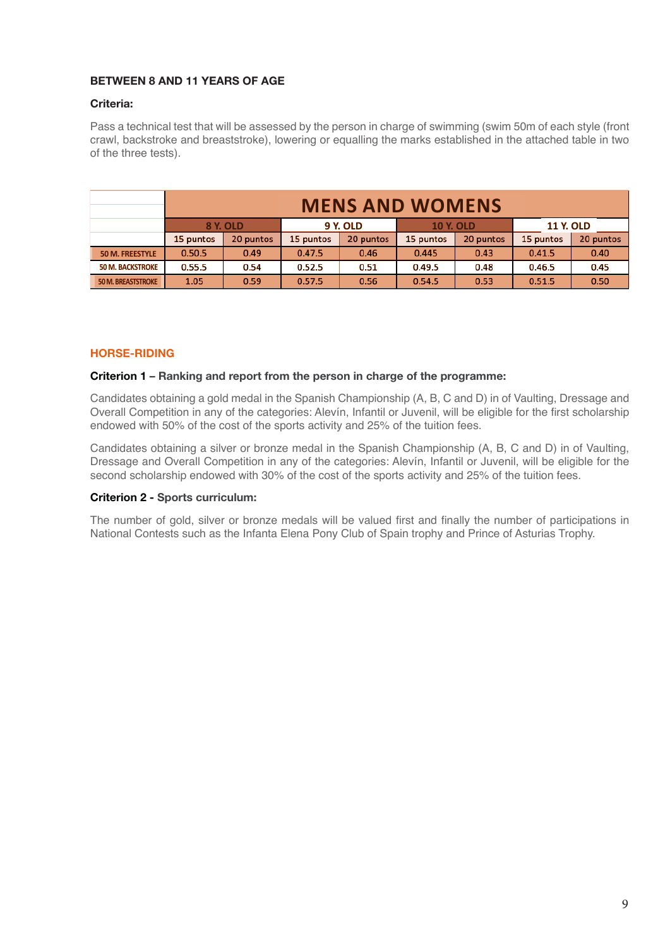# BETWEEN 8 AND 11 YEARS OF AGE

## Criteria:

Pass a technical test that will be assessed by the person in charge of swimming (swim 50m of each style (front crawl, backstroke and breaststroke), lowering or equalling the marks established in the attached table in two of the three tests).

|                           | <b>MENS AND WOMENS</b>                                              |           |           |           |           |           |           |           |  |  |
|---------------------------|---------------------------------------------------------------------|-----------|-----------|-----------|-----------|-----------|-----------|-----------|--|--|
|                           | 8 Y. OLD<br><b>9 Y. OLD</b><br><b>11 Y. OLD</b><br><b>10 Y. OLD</b> |           |           |           |           |           |           |           |  |  |
|                           | 15 puntos                                                           | 20 puntos | 15 puntos | 20 puntos | 15 puntos | 20 puntos | 15 puntos | 20 puntos |  |  |
| <b>50 M. FREESTYLE</b>    | 0.50.5                                                              | 0.49      | 0.47.5    | 0.46      | 0.445     | 0.43      | 0.41.5    | 0.40      |  |  |
| <b>50 M. BACKSTROKE</b>   | 0.55.5                                                              | 0.54      | 0.52.5    | 0.51      | 0.49.5    | 0.48      | 0.46.5    | 0.45      |  |  |
| <b>50 M. BREASTSTROKE</b> | 1.05                                                                | 0.59      | 0.57.5    | 0.56      | 0.54.5    | 0.53      | 0.51.5    | 0.50      |  |  |

# HORSE-RIDING

### Criterion 1 – Ranking and report from the person in charge of the programme:

Candidates obtaining a gold medal in the Spanish Championship (A, B, C and D) in of Vaulting, Dressage and Overall Competition in any of the categories: Alevín, Infantil or Juvenil, will be eligible for the first scholarship endowed with 50% of the cost of the sports activity and 25% of the tuition fees.

Candidates obtaining a silver or bronze medal in the Spanish Championship (A, B, C and D) in of Vaulting, Dressage and Overall Competition in any of the categories: Alevín, Infantil or Juvenil, will be eligible for the second scholarship endowed with 30% of the cost of the sports activity and 25% of the tuition fees.

### Criterion 2 - Sports curriculum:

The number of gold, silver or bronze medals will be valued first and finally the number of participations in National Contests such as the Infanta Elena Pony Club of Spain trophy and Prince of Asturias Trophy.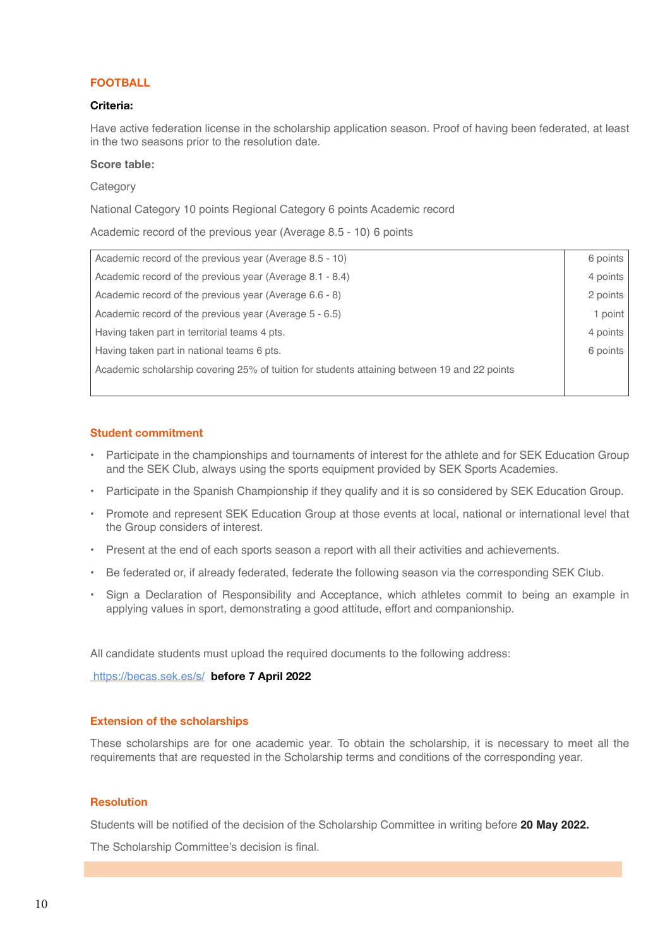# FOOTBALL

## Criteria:

Have active federation license in the scholarship application season. Proof of having been federated, at least in the two seasons prior to the resolution date.

### **Score table:**

### Category

National Category 10 points Regional Category 6 points Academic record

Academic record of the previous year (Average 8.5 - 10) 6 points

| Academic record of the previous year (Average 8.5 - 10)                                      | 6 points |
|----------------------------------------------------------------------------------------------|----------|
| Academic record of the previous year (Average 8.1 - 8.4)                                     | 4 points |
| Academic record of the previous year (Average 6.6 - 8)                                       | 2 points |
| Academic record of the previous year (Average 5 - 6.5)                                       | 1 point  |
| Having taken part in territorial teams 4 pts.                                                | 4 points |
| Having taken part in national teams 6 pts.                                                   | 6 points |
| Academic scholarship covering 25% of tuition for students attaining between 19 and 22 points |          |
|                                                                                              |          |

## Student commitment

- Participate in the championships and tournaments of interest for the athlete and for SEK Education Group and the SEK Club, always using the sports equipment provided by SEK Sports Academies.
- Participate in the Spanish Championship if they qualify and it is so considered by SEK Education Group.
- Promote and represent SEK Education Group at those events at local, national or international level that the Group considers of interest.
- Present at the end of each sports season a report with all their activities and achievements.
- Be federated or, if already federated, federate the following season via the corresponding SEK Club.
- Sign a Declaration of Responsibility and Acceptance, which athletes commit to being an example in applying values in sport, demonstrating a good attitude, effort and companionship.

All candidate students must upload the required documents to the following address:

https://becas.sek.es/s/ before 7 April 2022

## Extension of the scholarships

These scholarships are for one academic year. To obtain the scholarship, it is necessary to meet all the requirements that are requested in the Scholarship terms and conditions of the corresponding year.

### Resolution

Students will be notified of the decision of the Scholarship Committee in writing before **20 May 2022.**

The Scholarship Committee's decision is final.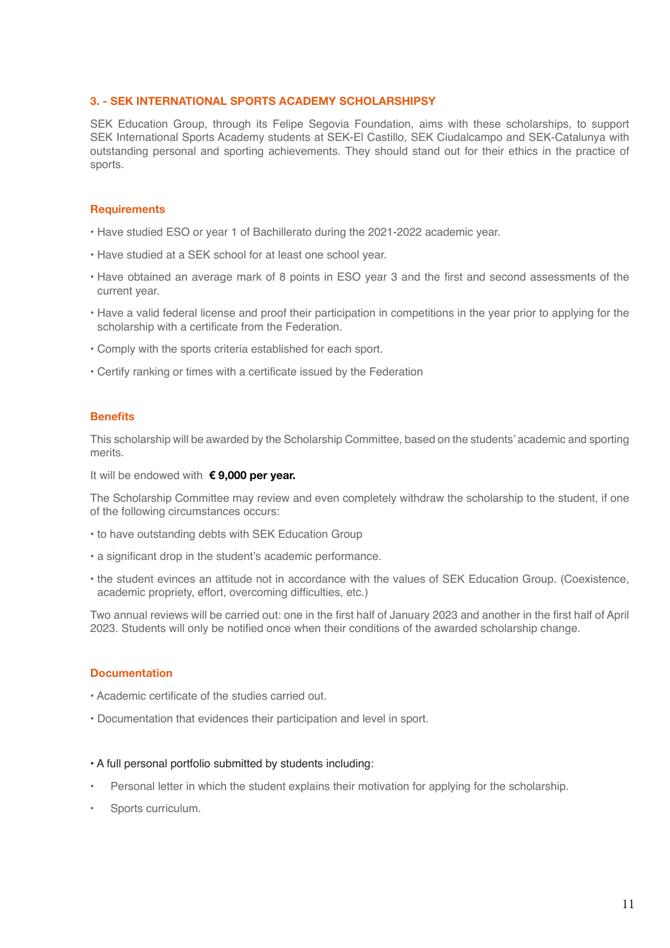## 3. - SEK INTERNATIONAL SPORTS ACADEMY SCHOLARSHIPSY

SEK Education Group, through its Felipe Segovia Foundation, aims with these scholarships, to support SEK International Sports Academy students at SEK-El Castillo, SEK Ciudalcampo and SEK-Catalunya with outstanding personal and sporting achievements. They should stand out for their ethics in the practice of sports.

# **Requirements**

- Have studied ESO or year 1 of Bachillerato during the 2021-2022 academic year.
- Have studied at a SEK school for at least one school year.
- Have obtained an average mark of 8 points in ESO year 3 and the first and second assessments of the current year.
- Have a valid federal license and proof their participation in competitions in the year prior to applying for the scholarship with a certificate from the Federation.
- Comply with the sports criteria established for each sport.
- Certify ranking or times with a certificate issued by the Federation

## **Benefits**

This scholarship will be awarded by the Scholarship Committee, based on the students' academic and sporting merits.

It will be endowed with  $\epsilon$ 9,000 per year.

The Scholarship Committee may review and even completely withdraw the scholarship to the student, if one of the following circumstances occurs:

- to have outstanding debts with SEK Education Group
- a significant drop in the student's academic performance.
- the student evinces an attitude not in accordance with the values of SEK Education Group. (Coexistence, academic propriety, effort, overcoming difficulties, etc.)

Two annual reviews will be carried out: one in the first half of January 2023 and another in the first half of April 2023. Students will only be notified once when their conditions of the awarded scholarship change.

## **Documentation**

- Academic certificate of the studies carried out.
- Documentation that evidences their participation and level in sport.

### • A full personal portfolio submitted by students including:

- Personal letter in which the student explains their motivation for applying for the scholarship.
- Sports curriculum.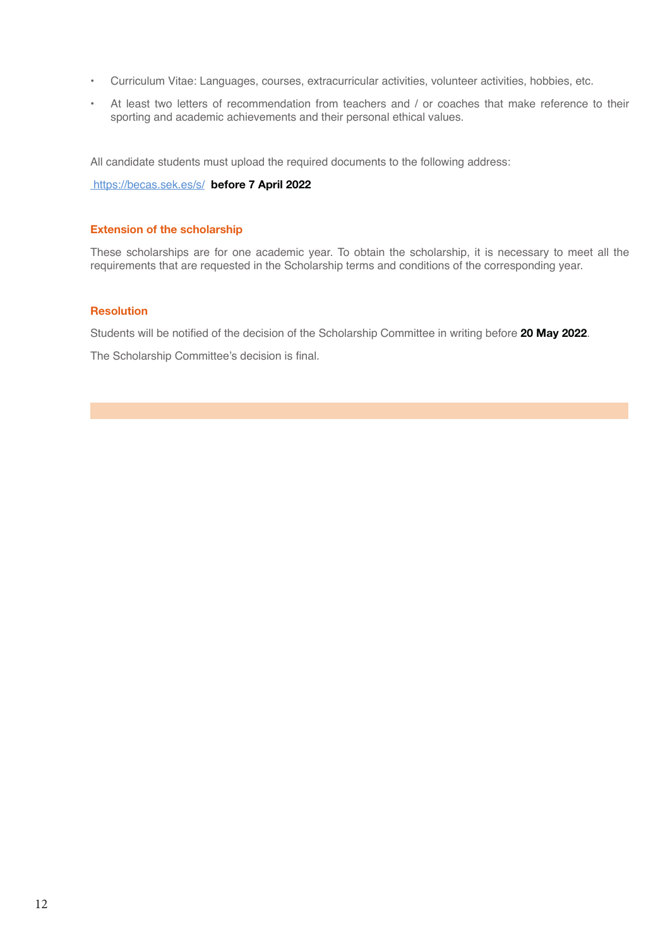- Curriculum Vitae: Languages, courses, extracurricular activities, volunteer activities, hobbies, etc.
- At least two letters of recommendation from teachers and / or coaches that make reference to their sporting and academic achievements and their personal ethical values.

All candidate students must upload the required documents to the following address:

https://becas.sek.es/s/ before 7 April 2022

### Extension of the scholarship

These scholarships are for one academic year. To obtain the scholarship, it is necessary to meet all the requirements that are requested in the Scholarship terms and conditions of the corresponding year.

## Resolution

Students will be notified of the decision of the Scholarship Committee in writing before 20 May 2022.

The Scholarship Committee's decision is final.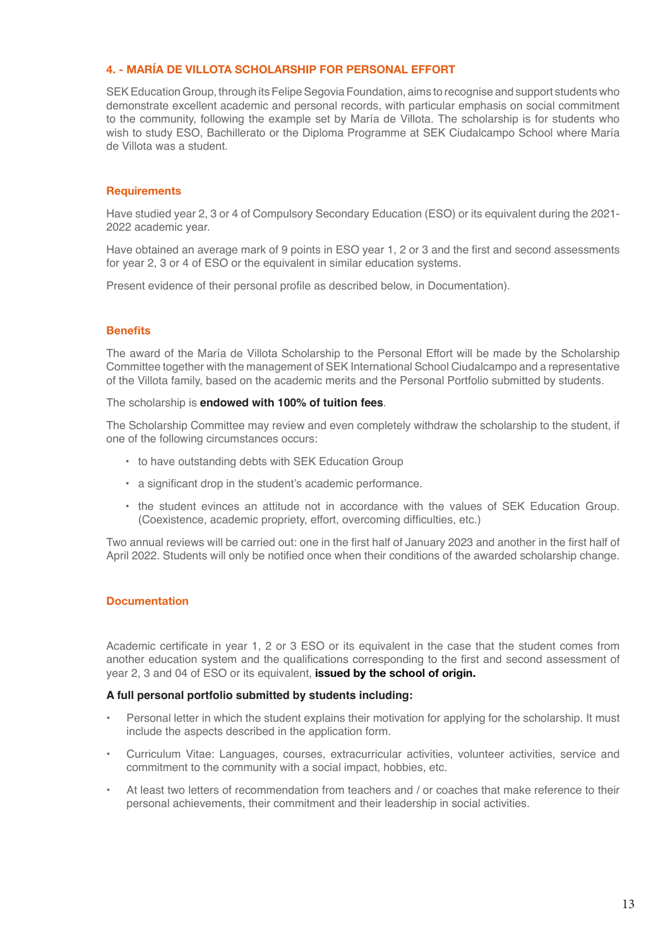# 4. - MARÍA DE VILLOTA SCHOLARSHIP FOR PERSONAL EFFORT

SEK Education Group, through its Felipe Segovia Foundation, aims to recognise and support students who demonstrate excellent academic and personal records, with particular emphasis on social commitment to the community, following the example set by María de Villota. The scholarship is for students who wish to study ESO, Bachillerato or the Diploma Programme at SEK Ciudalcampo School where María de Villota was a student.

# **Requirements**

Have studied year 2, 3 or 4 of Compulsory Secondary Education (ESO) or its equivalent during the 2021- 2022 academic year.

Have obtained an average mark of 9 points in ESO year 1, 2 or 3 and the first and second assessments for year 2, 3 or 4 of ESO or the equivalent in similar education systems.

Present evidence of their personal profile as described below, in Documentation).

# **Benefits**

The award of the María de Villota Scholarship to the Personal Effort will be made by the Scholarship Committee together with the management of SEK International School Ciudalcampo and a representative of the Villota family, based on the academic merits and the Personal Portfolio submitted by students.

The scholarship is **endowed with 100% of tuition fees**.

The Scholarship Committee may review and even completely withdraw the scholarship to the student, if one of the following circumstances occurs:

- to have outstanding debts with SEK Education Group
- a significant drop in the student's academic performance.
- the student evinces an attitude not in accordance with the values of SEK Education Group. (Coexistence, academic propriety, effort, overcoming difficulties, etc.)

Two annual reviews will be carried out: one in the first half of January 2023 and another in the first half of April 2022. Students will only be notified once when their conditions of the awarded scholarship change.

# **Documentation**

Academic certificate in year 1, 2 or 3 ESO or its equivalent in the case that the student comes from another education system and the qualifications corresponding to the first and second assessment of year 2, 3 and 04 of ESO or its equivalent, **issued by the school of origin.** 

# **A full personal portfolio submitted by students including:**

- Personal letter in which the student explains their motivation for applying for the scholarship. It must include the aspects described in the application form.
- Curriculum Vitae: Languages, courses, extracurricular activities, volunteer activities, service and commitment to the community with a social impact, hobbies, etc.
- At least two letters of recommendation from teachers and / or coaches that make reference to their personal achievements, their commitment and their leadership in social activities.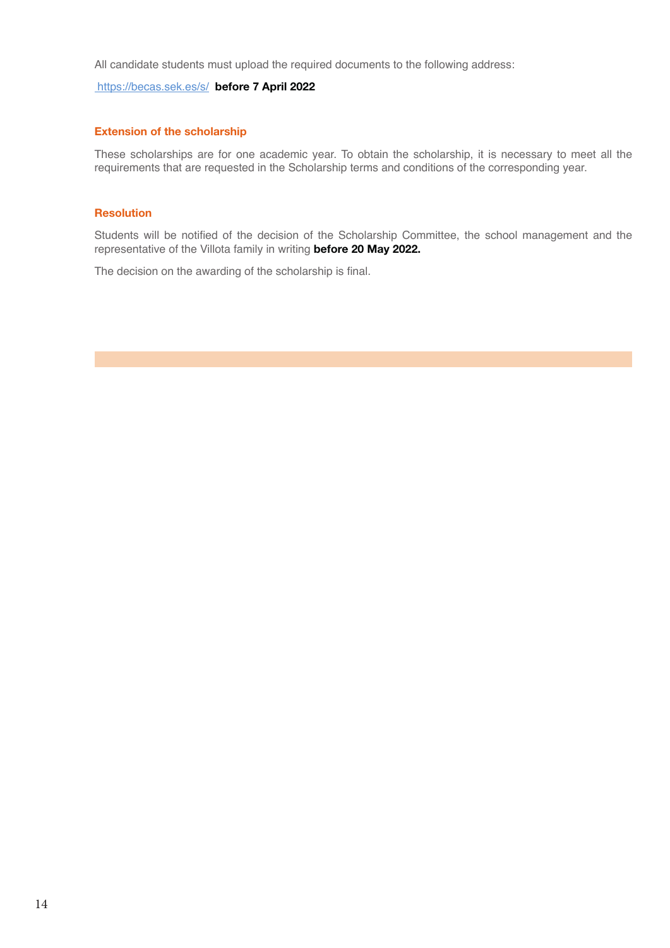All candidate students must upload the required documents to the following address:

# https://becas.sek.es/s/ before 7 April 2022

# Extension of the scholarship

These scholarships are for one academic year. To obtain the scholarship, it is necessary to meet all the requirements that are requested in the Scholarship terms and conditions of the corresponding year.

## Resolution

Students will be notified of the decision of the Scholarship Committee, the school management and the representative of the Villota family in writing before 20 May 2022.

The decision on the awarding of the scholarship is final.